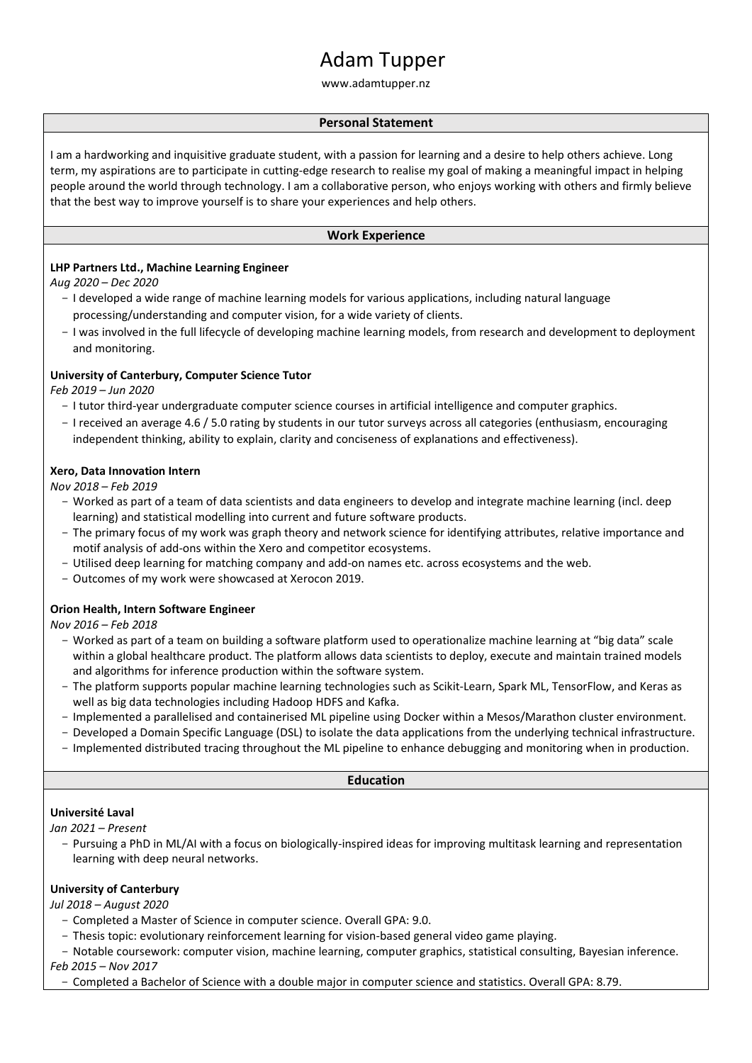# Adam Tupper

www.adamtupper.nz

# **Personal Statement**

I am a hardworking and inquisitive graduate student, with a passion for learning and a desire to help others achieve. Long term, my aspirations are to participate in cutting-edge research to realise my goal of making a meaningful impact in helping people around the world through technology. I am a collaborative person, who enjoys working with others and firmly believe that the best way to improve yourself is to share your experiences and help others.

## **Work Experience**

# **LHP Partners Ltd., Machine Learning Engineer**

*Aug 2020 – Dec 2020*

- I developed a wide range of machine learning models for various applications, including natural language processing/understanding and computer vision, for a wide variety of clients.
- I was involved in the full lifecycle of developing machine learning models, from research and development to deployment and monitoring.

## **University of Canterbury, Computer Science Tutor**

*Feb 2019 – Jun 2020*

- I tutor third-year undergraduate computer science courses in artificial intelligence and computer graphics.
- I received an average 4.6 / 5.0 rating by students in our tutor surveys across all categories (enthusiasm, encouraging independent thinking, ability to explain, clarity and conciseness of explanations and effectiveness).

#### **Xero, Data Innovation Intern**

*Nov 2018 – Feb 2019*

- Worked as part of a team of data scientists and data engineers to develop and integrate machine learning (incl. deep learning) and statistical modelling into current and future software products.
- The primary focus of my work was graph theory and network science for identifying attributes, relative importance and motif analysis of add-ons within the Xero and competitor ecosystems.
- Utilised deep learning for matching company and add-on names etc. across ecosystems and the web.
- Outcomes of my work were showcased at Xerocon 2019.

#### **Orion Health, Intern Software Engineer**

*Nov 2016 – Feb 2018*

- Worked as part of a team on building a software platform used to operationalize machine learning at "big data" scale within a global healthcare product. The platform allows data scientists to deploy, execute and maintain trained models and algorithms for inference production within the software system.
- The platform supports popular machine learning technologies such as Scikit-Learn, Spark ML, TensorFlow, and Keras as well as big data technologies including Hadoop HDFS and Kafka.
- Implemented a parallelised and containerised ML pipeline using Docker within a Mesos/Marathon cluster environment.
- Developed a Domain Specific Language (DSL) to isolate the data applications from the underlying technical infrastructure.
- Implemented distributed tracing throughout the ML pipeline to enhance debugging and monitoring when in production.

#### **Education**

#### **Université Laval**

*Jan 2021 – Present*

- Pursuing a PhD in ML/AI with a focus on biologically-inspired ideas for improving multitask learning and representation learning with deep neural networks.

## **University of Canterbury**

*Jul 2018 – August 2020*

- Completed a Master of Science in computer science. Overall GPA: 9.0.
- Thesis topic: evolutionary reinforcement learning for vision-based general video game playing.
- Notable coursework: computer vision, machine learning, computer graphics, statistical consulting, Bayesian inference.

*Feb 2015 – Nov 2017*

- Completed a Bachelor of Science with a double major in computer science and statistics. Overall GPA: 8.79.